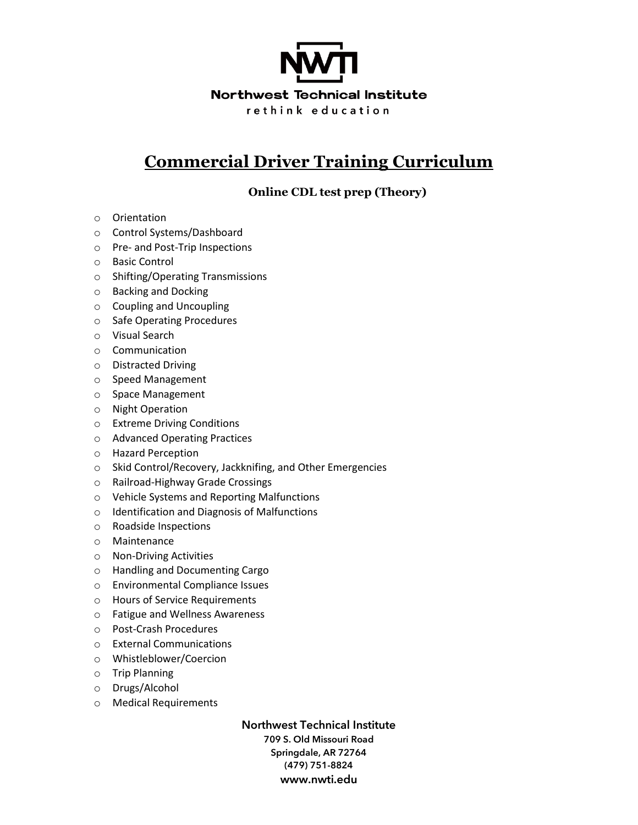

## **Commercial Driver Training Curriculum**

**Online CDL test prep (Theory)**

- o Orientation
- o Control Systems/Dashboard
- o Pre- and Post-Trip Inspections
- o Basic Control
- o Shifting/Operating Transmissions
- o Backing and Docking
- o Coupling and Uncoupling
- o Safe Operating Procedures
- o Visual Search
- o Communication
- o Distracted Driving
- o Speed Management
- o Space Management
- o Night Operation
- o Extreme Driving Conditions
- o Advanced Operating Practices
- o Hazard Perception
- o Skid Control/Recovery, Jackknifing, and Other Emergencies
- o Railroad-Highway Grade Crossings
- o Vehicle Systems and Reporting Malfunctions
- o Identification and Diagnosis of Malfunctions
- o Roadside Inspections
- o Maintenance
- o Non-Driving Activities
- o Handling and Documenting Cargo
- o Environmental Compliance Issues
- o Hours of Service Requirements
- o Fatigue and Wellness Awareness
- o Post-Crash Procedures
- o External Communications
- o Whistleblower/Coercion
- o Trip Planning
- o Drugs/Alcohol
- o Medical Requirements

**Northwest Technical Institute 709 S. Old Missouri Road Springdale, AR 72764 (479) 751-8824 www.nwti.edu**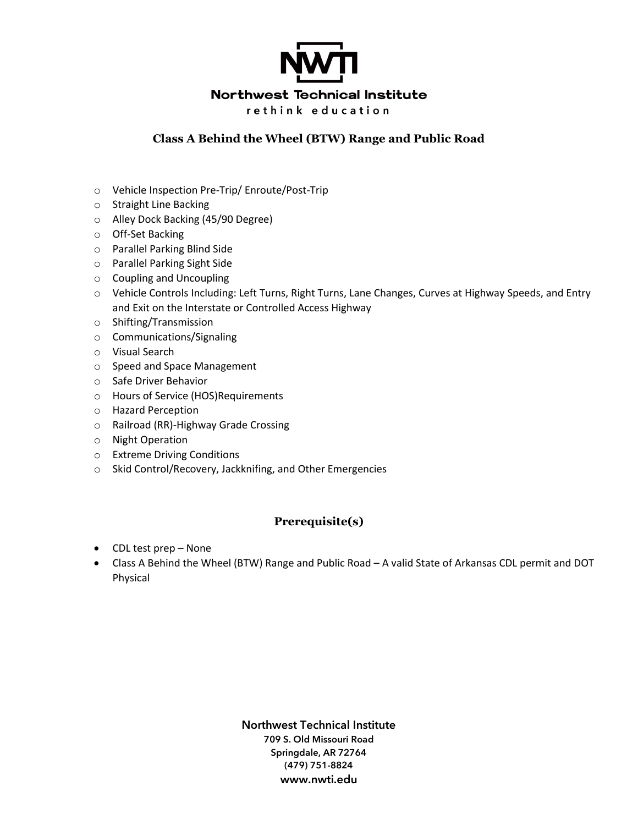

## **Class A Behind the Wheel (BTW) Range and Public Road**

- o Vehicle Inspection Pre-Trip/ Enroute/Post-Trip
- o Straight Line Backing
- o Alley Dock Backing (45/90 Degree)
- o Off-Set Backing
- o Parallel Parking Blind Side
- o Parallel Parking Sight Side
- o Coupling and Uncoupling
- o Vehicle Controls Including: Left Turns, Right Turns, Lane Changes, Curves at Highway Speeds, and Entry and Exit on the Interstate or Controlled Access Highway
- o Shifting/Transmission
- o Communications/Signaling
- o Visual Search
- o Speed and Space Management
- o Safe Driver Behavior
- o Hours of Service (HOS)Requirements
- o Hazard Perception
- o Railroad (RR)-Highway Grade Crossing
- o Night Operation
- o Extreme Driving Conditions
- o Skid Control/Recovery, Jackknifing, and Other Emergencies

## **Prerequisite(s)**

- CDL test prep None
- Class A Behind the Wheel (BTW) Range and Public Road A valid State of Arkansas CDL permit and DOT Physical

**Northwest Technical Institute 709 S. Old Missouri Road Springdale, AR 72764 (479) 751-8824 www.nwti.edu**